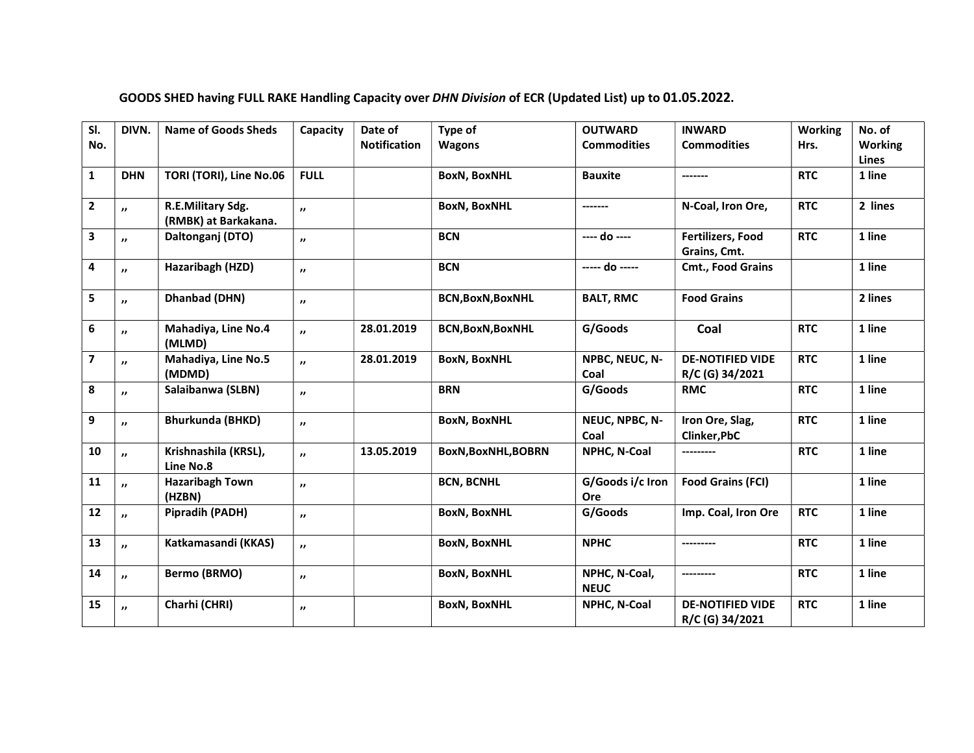| SI.                     | DIVN.               | <b>Name of Goods Sheds</b>                | Capacity            | Date of             | Type of                  | <b>OUTWARD</b>               | <b>INWARD</b>                              | Working    | No. of                         |
|-------------------------|---------------------|-------------------------------------------|---------------------|---------------------|--------------------------|------------------------------|--------------------------------------------|------------|--------------------------------|
| No.                     |                     |                                           |                     | <b>Notification</b> | <b>Wagons</b>            | <b>Commodities</b>           | <b>Commodities</b>                         | Hrs.       | <b>Working</b><br><b>Lines</b> |
| $\mathbf{1}$            | <b>DHN</b>          | TORI (TORI), Line No.06                   | <b>FULL</b>         |                     | <b>BoxN, BoxNHL</b>      | <b>Bauxite</b>               | -------                                    | <b>RTC</b> | 1 line                         |
| $\overline{2}$          | $\mathbf{v}$        | R.E.Military Sdg.<br>(RMBK) at Barkakana. | $\boldsymbol{\eta}$ |                     | <b>BoxN, BoxNHL</b>      | -------                      | N-Coal, Iron Ore,                          | <b>RTC</b> | 2 lines                        |
| $\mathbf{3}$            | ,,                  | Daltonganj (DTO)                          | $\boldsymbol{\eta}$ |                     | <b>BCN</b>               | $---$ do $---$               | <b>Fertilizers, Food</b><br>Grains, Cmt.   | <b>RTC</b> | 1 line                         |
| $\pmb{4}$               | $\mathbf{v}$        | Hazaribagh (HZD)                          | $\boldsymbol{\eta}$ |                     | <b>BCN</b>               | ----- do -----               | Cmt., Food Grains                          |            | 1 line                         |
| 5                       | $\boldsymbol{\eta}$ | Dhanbad (DHN)                             | $\boldsymbol{\eta}$ |                     | <b>BCN,BoxN,BoxNHL</b>   | <b>BALT, RMC</b>             | <b>Food Grains</b>                         |            | 2 lines                        |
| $\boldsymbol{6}$        | $\mathbf{v}$        | Mahadiya, Line No.4<br>(MLMD)             | $\overline{ }$      | 28.01.2019          | <b>BCN, BoxN, BoxNHL</b> | G/Goods                      | Coal                                       | <b>RTC</b> | 1 line                         |
| $\overline{\mathbf{z}}$ | $\mathbf{v}$        | Mahadiya, Line No.5<br>(MDMD)             | $\boldsymbol{\eta}$ | 28.01.2019          | <b>BoxN, BoxNHL</b>      | NPBC, NEUC, N-<br>Coal       | <b>DE-NOTIFIED VIDE</b><br>R/C (G) 34/2021 | <b>RTC</b> | 1 line                         |
| 8                       | $\mathbf{r}$        | Salaibanwa (SLBN)                         | $\boldsymbol{\eta}$ |                     | <b>BRN</b>               | G/Goods                      | <b>RMC</b>                                 | <b>RTC</b> | 1 line                         |
| 9                       | $\mathbf{r}$        | <b>Bhurkunda (BHKD)</b>                   | $\boldsymbol{\eta}$ |                     | <b>BoxN, BoxNHL</b>      | NEUC, NPBC, N-<br>Coal       | Iron Ore, Slag,<br>Clinker, PbC            | <b>RTC</b> | 1 line                         |
| 10                      | $\mathbf{r}$        | Krishnashila (KRSL),<br>Line No.8         | $\boldsymbol{\eta}$ | 13.05.2019          | BoxN, BoxNHL, BOBRN      | NPHC, N-Coal                 | ---------                                  | <b>RTC</b> | 1 line                         |
| 11                      | $\overline{ }$      | <b>Hazaribagh Town</b><br>(HZBN)          | $\boldsymbol{\eta}$ |                     | <b>BCN, BCNHL</b>        | G/Goods i/c Iron<br>Ore      | <b>Food Grains (FCI)</b>                   |            | 1 line                         |
| 12                      | $\mathbf{v}$        | Pipradih (PADH)                           | $\boldsymbol{\eta}$ |                     | <b>BoxN, BoxNHL</b>      | G/Goods                      | Imp. Coal, Iron Ore                        | <b>RTC</b> | 1 line                         |
| 13                      | $\mathbf{v}$        | Katkamasandi (KKAS)                       | $\mathbf{r}$        |                     | <b>BoxN, BoxNHL</b>      | <b>NPHC</b>                  | ---------                                  | <b>RTC</b> | 1 line                         |
| 14                      | $\mathbf{r}$        | <b>Bermo (BRMO)</b>                       | $\boldsymbol{\eta}$ |                     | <b>BoxN, BoxNHL</b>      | NPHC, N-Coal,<br><b>NEUC</b> | ---------                                  | <b>RTC</b> | 1 line                         |
| 15                      | $\boldsymbol{\eta}$ | Charhi (CHRI)                             | $\mathbf{H}$        |                     | <b>BoxN, BoxNHL</b>      | NPHC, N-Coal                 | <b>DE-NOTIFIED VIDE</b><br>R/C (G) 34/2021 | <b>RTC</b> | 1 line                         |

### GOODS SHED having FULL RAKE Handling Capacity over DHN Division of ECR (Updated List) up to 01.05.2022.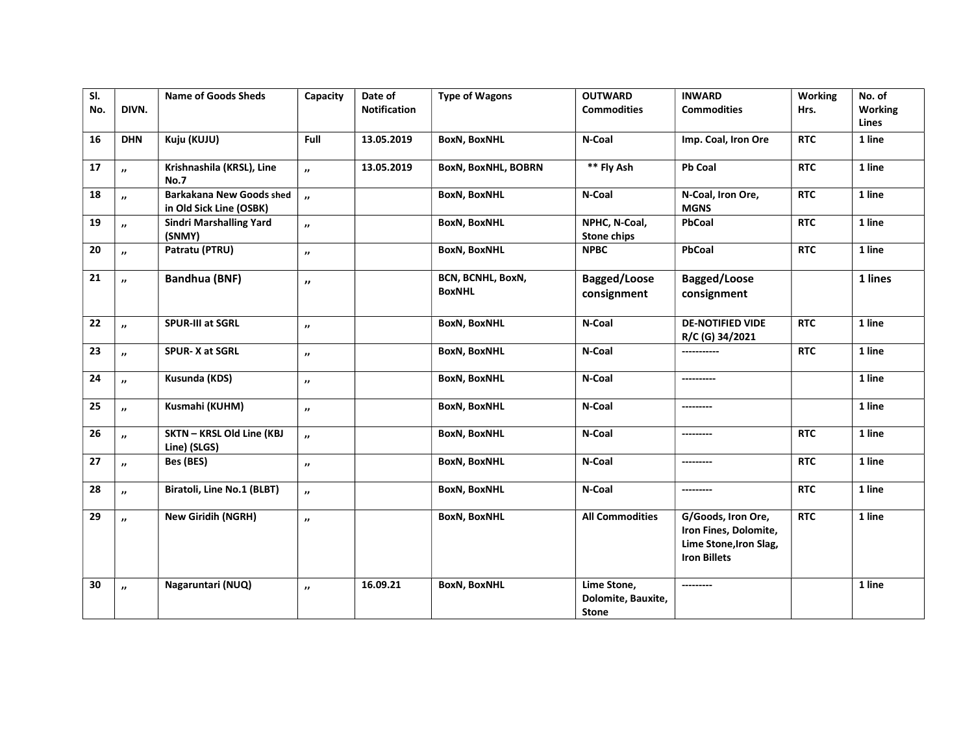| SI. |                     | <b>Name of Goods Sheds</b>                                 | Capacity              | Date of             | <b>Type of Wagons</b>              | <b>OUTWARD</b>                                    | <b>INWARD</b>                                                                                | Working    | No. of         |
|-----|---------------------|------------------------------------------------------------|-----------------------|---------------------|------------------------------------|---------------------------------------------------|----------------------------------------------------------------------------------------------|------------|----------------|
| No. | DIVN.               |                                                            |                       | <b>Notification</b> |                                    | <b>Commodities</b>                                | <b>Commodities</b>                                                                           | Hrs.       | <b>Working</b> |
|     |                     |                                                            |                       |                     |                                    |                                                   |                                                                                              |            | Lines          |
| 16  | <b>DHN</b>          | Kuju (KUJU)                                                | Full                  | 13.05.2019          | <b>BoxN, BoxNHL</b>                | N-Coal                                            | Imp. Coal, Iron Ore                                                                          | <b>RTC</b> | 1 line         |
| 17  | $\boldsymbol{\eta}$ | Krishnashila (KRSL), Line<br><b>No.7</b>                   | $\boldsymbol{\theta}$ | 13.05.2019          | BoxN, BoxNHL, BOBRN                | ** Fly Ash                                        | <b>Pb Coal</b>                                                                               | <b>RTC</b> | 1 line         |
| 18  | $\cdot$             | <b>Barkakana New Goods shed</b><br>in Old Sick Line (OSBK) | $\boldsymbol{\theta}$ |                     | <b>BoxN, BoxNHL</b>                | N-Coal                                            | N-Coal, Iron Ore,<br><b>MGNS</b>                                                             | <b>RTC</b> | 1 line         |
| 19  | $\cdot$             | <b>Sindri Marshalling Yard</b><br>(SNMY)                   | $\boldsymbol{\eta}$   |                     | <b>BoxN, BoxNHL</b>                | NPHC, N-Coal,<br><b>Stone chips</b>               | PbCoal                                                                                       | <b>RTC</b> | 1 line         |
| 20  | $\overline{ }$      | Patratu (PTRU)                                             | $\cdot$               |                     | <b>BoxN, BoxNHL</b>                | <b>NPBC</b>                                       | PbCoal                                                                                       | <b>RTC</b> | 1 line         |
| 21  | $\overline{ }$      | <b>Bandhua (BNF)</b>                                       | $\boldsymbol{\eta}$   |                     | BCN, BCNHL, BoxN,<br><b>BoxNHL</b> | Bagged/Loose<br>consignment                       | Bagged/Loose<br>consignment                                                                  |            | 1 lines        |
| 22  | $\cdot$             | <b>SPUR-III at SGRL</b>                                    | $\boldsymbol{\eta}$   |                     | <b>BoxN, BoxNHL</b>                | N-Coal                                            | <b>DE-NOTIFIED VIDE</b><br>R/C (G) 34/2021                                                   | <b>RTC</b> | 1 line         |
| 23  | $\boldsymbol{\eta}$ | SPUR-X at SGRL                                             | $^{\prime\prime}$     |                     | <b>BoxN, BoxNHL</b>                | N-Coal                                            | ------------                                                                                 | <b>RTC</b> | 1 line         |
| 24  | $\cdot$             | Kusunda (KDS)                                              | $^{\prime\prime}$     |                     | <b>BoxN, BoxNHL</b>                | N-Coal                                            | ----------                                                                                   |            | 1 line         |
| 25  | $\boldsymbol{\eta}$ | Kusmahi (KUHM)                                             | $^{\prime\prime}$     |                     | <b>BoxN, BoxNHL</b>                | N-Coal                                            |                                                                                              |            | 1 line         |
| 26  | $\overline{ }$      | SKTN - KRSL Old Line (KBJ<br>Line) (SLGS)                  | $\boldsymbol{\eta}$   |                     | <b>BoxN, BoxNHL</b>                | N-Coal                                            | ---------                                                                                    | <b>RTC</b> | 1 line         |
| 27  | $^{\prime\prime}$   | Bes (BES)                                                  | $\cdot$               |                     | <b>BoxN, BoxNHL</b>                | N-Coal                                            | ----------                                                                                   | <b>RTC</b> | 1 line         |
| 28  | $^{\prime\prime}$   | Biratoli, Line No.1 (BLBT)                                 | $\cdot$               |                     | <b>BoxN, BoxNHL</b>                | N-Coal                                            | ---------                                                                                    | <b>RTC</b> | 1 line         |
| 29  | $\cdot$             | <b>New Giridih (NGRH)</b>                                  | $\cdot$               |                     | <b>BoxN, BoxNHL</b>                | <b>All Commodities</b>                            | G/Goods, Iron Ore,<br>Iron Fines, Dolomite,<br>Lime Stone, Iron Slag,<br><b>Iron Billets</b> | <b>RTC</b> | 1 line         |
| 30  | $\boldsymbol{\eta}$ | Nagaruntari (NUQ)                                          | $^{\prime\prime}$     | 16.09.21            | <b>BoxN, BoxNHL</b>                | Lime Stone,<br>Dolomite, Bauxite,<br><b>Stone</b> |                                                                                              |            | 1 line         |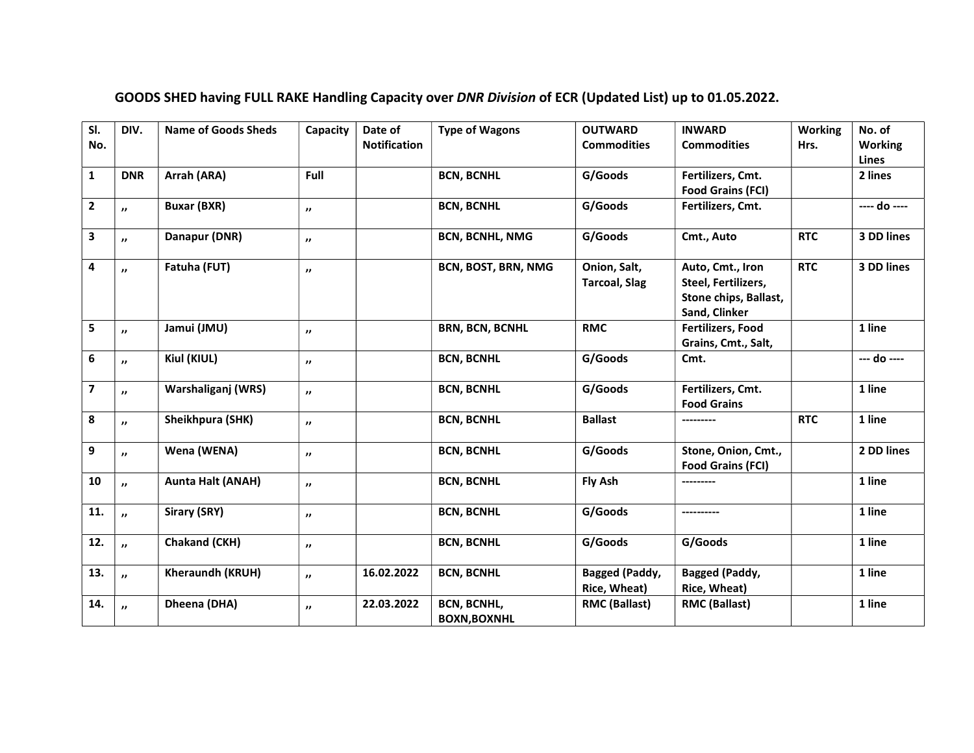| SI.<br>No.              | DIV.                    | <b>Name of Goods Sheds</b> | Capacity            | Date of<br><b>Notification</b> | <b>Type of Wagons</b>                     | <b>OUTWARD</b><br><b>Commodities</b>  | <b>INWARD</b><br><b>Commodities</b>                                               | <b>Working</b><br>Hrs. | No. of<br><b>Working</b><br><b>Lines</b> |
|-------------------------|-------------------------|----------------------------|---------------------|--------------------------------|-------------------------------------------|---------------------------------------|-----------------------------------------------------------------------------------|------------------------|------------------------------------------|
| $\mathbf{1}$            | <b>DNR</b>              | Arrah (ARA)                | Full                |                                | <b>BCN, BCNHL</b>                         | G/Goods                               | Fertilizers, Cmt.<br><b>Food Grains (FCI)</b>                                     |                        | 2 lines                                  |
| $\mathbf{2}$            | $\boldsymbol{\eta}$     | <b>Buxar (BXR)</b>         | $^{\prime\prime}$   |                                | <b>BCN, BCNHL</b>                         | G/Goods                               | Fertilizers, Cmt.                                                                 |                        | ---- do ----                             |
| $\mathbf{3}$            | $\boldsymbol{\eta}$     | Danapur (DNR)              | $\boldsymbol{\eta}$ |                                | <b>BCN, BCNHL, NMG</b>                    | G/Goods                               | Cmt., Auto                                                                        | <b>RTC</b>             | 3 DD lines                               |
| 4                       | $\mathbf{r}$            | Fatuha (FUT)               | $\boldsymbol{\eta}$ |                                | BCN, BOST, BRN, NMG                       | Onion, Salt,<br><b>Tarcoal, Slag</b>  | Auto, Cmt., Iron<br>Steel, Fertilizers,<br>Stone chips, Ballast,<br>Sand, Clinker | <b>RTC</b>             | 3 DD lines                               |
| 5                       | $\boldsymbol{\eta}$     | Jamui (JMU)                | $^{\prime\prime}$   |                                | <b>BRN, BCN, BCNHL</b>                    | <b>RMC</b>                            | <b>Fertilizers, Food</b><br>Grains, Cmt., Salt,                                   |                        | 1 line                                   |
| $\boldsymbol{6}$        | $\boldsymbol{\eta}$     | Kiul (KIUL)                | $\boldsymbol{\eta}$ |                                | <b>BCN, BCNHL</b>                         | G/Goods                               | Cmt.                                                                              |                        | --- do ----                              |
| $\overline{\mathbf{z}}$ | $\mathbf{r}$            | Warshaliganj (WRS)         | $\boldsymbol{\eta}$ |                                | <b>BCN, BCNHL</b>                         | G/Goods                               | Fertilizers, Cmt.<br><b>Food Grains</b>                                           |                        | 1 line                                   |
| 8                       | $\boldsymbol{\eta}$     | Sheikhpura (SHK)           | $\boldsymbol{\eta}$ |                                | <b>BCN, BCNHL</b>                         | <b>Ballast</b>                        | ---------                                                                         | <b>RTC</b>             | 1 line                                   |
| 9                       | $\overline{\mathbf{v}}$ | Wena (WENA)                | $^{\prime\prime}$   |                                | <b>BCN, BCNHL</b>                         | G/Goods                               | Stone, Onion, Cmt.,<br><b>Food Grains (FCI)</b>                                   |                        | 2 DD lines                               |
| 10                      | $\boldsymbol{\eta}$     | <b>Aunta Halt (ANAH)</b>   | $\boldsymbol{\eta}$ |                                | <b>BCN, BCNHL</b>                         | Fly Ash                               | ---------                                                                         |                        | 1 line                                   |
| 11.                     | $\overline{ }$          | Sirary (SRY)               | $^{\prime\prime}$   |                                | <b>BCN, BCNHL</b>                         | G/Goods                               |                                                                                   |                        | 1 line                                   |
| 12.                     | $\boldsymbol{\theta}$   | Chakand (CKH)              | $\boldsymbol{\eta}$ |                                | <b>BCN, BCNHL</b>                         | G/Goods                               | G/Goods                                                                           |                        | 1 line                                   |
| 13.                     | $\overline{\mathbf{v}}$ | Kheraundh (KRUH)           | $\boldsymbol{\eta}$ | 16.02.2022                     | <b>BCN, BCNHL</b>                         | <b>Bagged (Paddy,</b><br>Rice, Wheat) | <b>Bagged (Paddy,</b><br><b>Rice, Wheat)</b>                                      |                        | 1 line                                   |
| 14.                     | $\overline{ }$          | Dheena (DHA)               | $\boldsymbol{\eta}$ | 22.03.2022                     | <b>BCN, BCNHL,</b><br><b>BOXN, BOXNHL</b> | <b>RMC (Ballast)</b>                  | <b>RMC (Ballast)</b>                                                              |                        | 1 line                                   |

# GOODS SHED having FULL RAKE Handling Capacity over DNR Division of ECR (Updated List) up to 01.05.2022.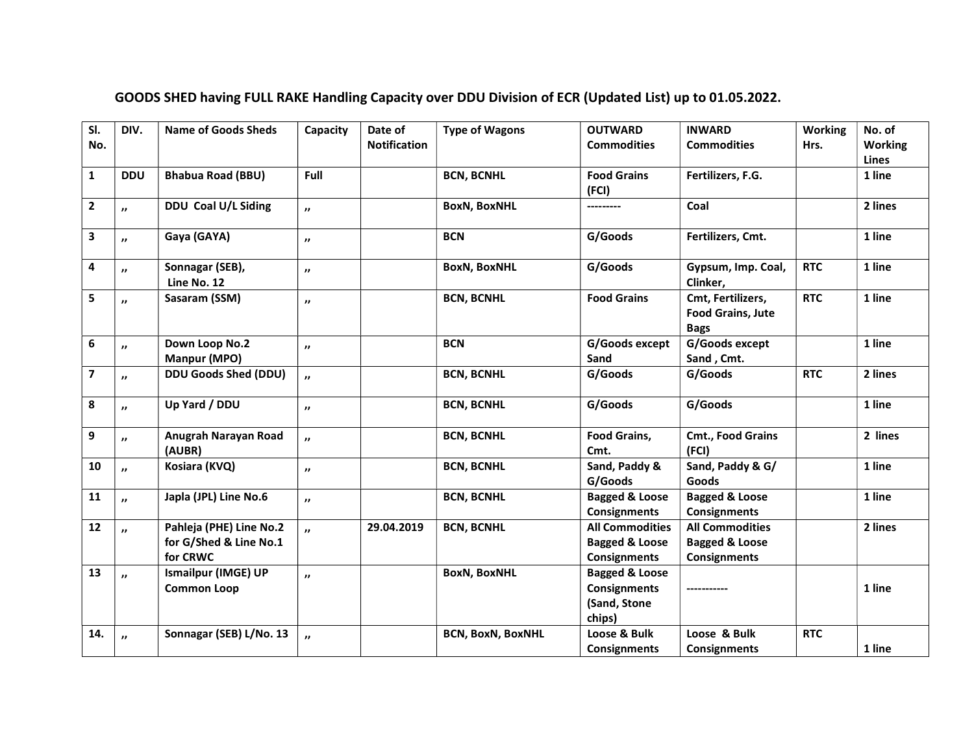| SI.                     | DIV.                    | <b>Name of Goods Sheds</b>                        | Capacity            | Date of             | <b>Type of Wagons</b>    | <b>OUTWARD</b>                                   | <b>INWARD</b>                                                | <b>Working</b> | No. of         |
|-------------------------|-------------------------|---------------------------------------------------|---------------------|---------------------|--------------------------|--------------------------------------------------|--------------------------------------------------------------|----------------|----------------|
| No.                     |                         |                                                   |                     | <b>Notification</b> |                          | <b>Commodities</b>                               | <b>Commodities</b>                                           | Hrs.           | <b>Working</b> |
|                         |                         |                                                   |                     |                     |                          |                                                  |                                                              |                | Lines          |
| $\mathbf{1}$            | <b>DDU</b>              | <b>Bhabua Road (BBU)</b>                          | Full                |                     | <b>BCN, BCNHL</b>        | <b>Food Grains</b>                               | Fertilizers, F.G.                                            |                | 1 line         |
|                         |                         |                                                   |                     |                     |                          | (FCI)                                            |                                                              |                |                |
| $\mathbf{2}$            | $\overline{\mathbf{v}}$ | DDU Coal U/L Siding                               | $\mathbf{r}$        |                     | <b>BoxN, BoxNHL</b>      | ---------                                        | Coal                                                         |                | 2 lines        |
| 3                       | $\boldsymbol{\eta}$     | Gaya (GAYA)                                       | $\boldsymbol{\eta}$ |                     | <b>BCN</b>               | G/Goods                                          | Fertilizers, Cmt.                                            |                | 1 line         |
| 4                       | $\boldsymbol{\eta}$     | Sonnagar (SEB),<br>Line No. 12                    | $\boldsymbol{\eta}$ |                     | <b>BoxN, BoxNHL</b>      | G/Goods                                          | Gypsum, Imp. Coal,<br>Clinker,                               | <b>RTC</b>     | 1 line         |
| 5                       | $\boldsymbol{\eta}$     | Sasaram (SSM)                                     | $\boldsymbol{\eta}$ |                     | <b>BCN, BCNHL</b>        | <b>Food Grains</b>                               | Cmt, Fertilizers,<br><b>Food Grains, Jute</b><br><b>Bags</b> | <b>RTC</b>     | 1 line         |
| 6                       | $\mathbf{v}$            | Down Loop No.2                                    | $\boldsymbol{\eta}$ |                     | <b>BCN</b>               | G/Goods except                                   | G/Goods except                                               |                | 1 line         |
|                         |                         | Manpur (MPO)                                      |                     |                     |                          | Sand                                             | Sand, Cmt.                                                   |                |                |
| $\overline{\mathbf{z}}$ | $\boldsymbol{\eta}$     | <b>DDU Goods Shed (DDU)</b>                       | $\boldsymbol{\eta}$ |                     | <b>BCN, BCNHL</b>        | G/Goods                                          | G/Goods                                                      | <b>RTC</b>     | 2 lines        |
| 8                       | $\boldsymbol{\eta}$     | Up Yard / DDU                                     | $\boldsymbol{\eta}$ |                     | <b>BCN, BCNHL</b>        | G/Goods                                          | G/Goods                                                      |                | 1 line         |
| 9                       | $\boldsymbol{\eta}$     | Anugrah Narayan Road<br>(AUBR)                    | $\boldsymbol{\eta}$ |                     | <b>BCN, BCNHL</b>        | <b>Food Grains,</b><br>Cmt.                      | <b>Cmt., Food Grains</b><br>(FCI)                            |                | 2 lines        |
| 10                      | $\boldsymbol{\eta}$     | Kosiara (KVQ)                                     | $\boldsymbol{\eta}$ |                     | <b>BCN, BCNHL</b>        | Sand, Paddy &<br>G/Goods                         | Sand, Paddy & G/<br>Goods                                    |                | 1 line         |
|                         |                         |                                                   |                     |                     |                          |                                                  |                                                              |                | 1 line         |
| ${\bf 11}$              | $\overline{ }$          | Japla (JPL) Line No.6                             | $\boldsymbol{\eta}$ |                     | <b>BCN, BCNHL</b>        | <b>Bagged &amp; Loose</b><br><b>Consignments</b> | <b>Bagged &amp; Loose</b><br><b>Consignments</b>             |                |                |
|                         |                         |                                                   |                     |                     |                          | <b>All Commodities</b>                           | <b>All Commodities</b>                                       |                | 2 lines        |
| 12                      | $\overline{\mathbf{v}}$ | Pahleja (PHE) Line No.2<br>for G/Shed & Line No.1 | $\mathbf{r}$        | 29.04.2019          | <b>BCN, BCNHL</b>        |                                                  | <b>Bagged &amp; Loose</b>                                    |                |                |
|                         |                         |                                                   |                     |                     |                          | <b>Bagged &amp; Loose</b>                        |                                                              |                |                |
|                         |                         | for CRWC                                          |                     |                     |                          | <b>Consignments</b>                              | <b>Consignments</b>                                          |                |                |
| 13                      | $\mathbf{v}$            | <b>Ismailpur (IMGE) UP</b>                        | $\boldsymbol{\eta}$ |                     | <b>BoxN, BoxNHL</b>      | <b>Bagged &amp; Loose</b><br><b>Consignments</b> |                                                              |                | 1 line         |
|                         |                         | <b>Common Loop</b>                                |                     |                     |                          |                                                  | -----------                                                  |                |                |
|                         |                         |                                                   |                     |                     |                          | (Sand, Stone                                     |                                                              |                |                |
|                         |                         |                                                   |                     |                     |                          | chips)                                           |                                                              |                |                |
| 14.                     | $\boldsymbol{\theta}$   | Sonnagar (SEB) L/No. 13                           | n,                  |                     | <b>BCN, BoxN, BoxNHL</b> | Loose & Bulk                                     | Loose & Bulk                                                 | <b>RTC</b>     |                |
|                         |                         |                                                   |                     |                     |                          | <b>Consignments</b>                              | <b>Consignments</b>                                          |                | 1 line         |

# GOODS SHED having FULL RAKE Handling Capacity over DDU Division of ECR (Updated List) up to 01.05.2022.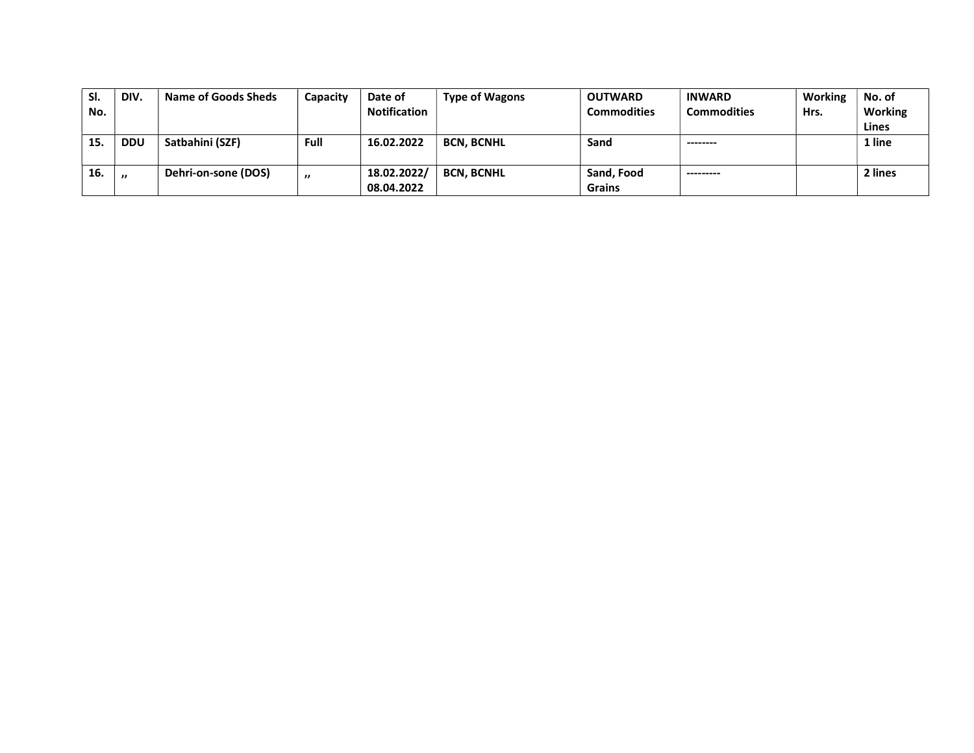| SI. | DIV.              | Name of Goods Sheds | Capacity | Date of             | <b>Type of Wagons</b> | <b>OUTWARD</b>     | <b>INWARD</b>      | Working | No. of  |
|-----|-------------------|---------------------|----------|---------------------|-----------------------|--------------------|--------------------|---------|---------|
| No. |                   |                     |          | <b>Notification</b> |                       | <b>Commodities</b> | <b>Commodities</b> | Hrs.    | Working |
|     |                   |                     |          |                     |                       |                    |                    |         | Lines   |
| 15. | <b>DDU</b>        | Satbahini (SZF)     | Full     | 16.02.2022          | <b>BCN. BCNHL</b>     | Sand               | --------           |         | 1 line  |
|     |                   |                     |          |                     |                       |                    |                    |         |         |
| 16. | $^{\prime\prime}$ | Dehri-on-sone (DOS) | "        | 18.02.2022/         | <b>BCN. BCNHL</b>     | Sand, Food         | ---------          |         | 2 lines |
|     |                   |                     |          | 08.04.2022          |                       | <b>Grains</b>      |                    |         |         |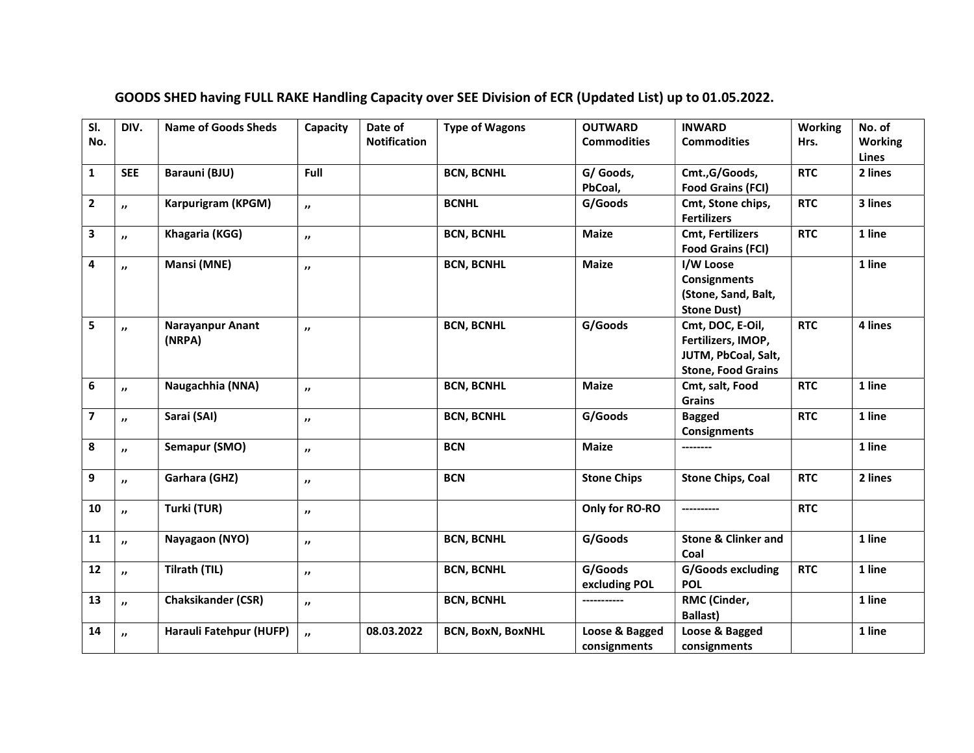| $\overline{\mathsf{SI}}$ . | DIV.                    | <b>Name of Goods Sheds</b> | Capacity            | Date of<br><b>Notification</b> | <b>Type of Wagons</b>    | <b>OUTWARD</b>     | <b>INWARD</b>                  | <b>Working</b> | No. of                  |
|----------------------------|-------------------------|----------------------------|---------------------|--------------------------------|--------------------------|--------------------|--------------------------------|----------------|-------------------------|
| No.                        |                         |                            |                     |                                |                          | <b>Commodities</b> | <b>Commodities</b>             | Hrs.           | <b>Working</b><br>Lines |
| $\mathbf{1}$               | <b>SEE</b>              | Barauni (BJU)              | Full                |                                | <b>BCN, BCNHL</b>        | G/ Goods,          | Cmt.,G/Goods,                  | <b>RTC</b>     | 2 lines                 |
|                            |                         |                            |                     |                                |                          | PbCoal,            | <b>Food Grains (FCI)</b>       |                |                         |
| $\mathbf{2}$               | $\mathbf{v}$            | Karpurigram (KPGM)         | $\boldsymbol{\eta}$ |                                | <b>BCNHL</b>             | G/Goods            | Cmt, Stone chips,              | <b>RTC</b>     | 3 lines                 |
|                            |                         |                            |                     |                                |                          |                    | <b>Fertilizers</b>             |                |                         |
| 3                          | $\boldsymbol{\eta}$     | Khagaria (KGG)             | $\boldsymbol{\eta}$ |                                | <b>BCN, BCNHL</b>        | <b>Maize</b>       | <b>Cmt, Fertilizers</b>        | <b>RTC</b>     | 1 line                  |
|                            |                         |                            |                     |                                |                          |                    | <b>Food Grains (FCI)</b>       |                |                         |
| 4                          | $\boldsymbol{\eta}$     | Mansi (MNE)                | $^{\prime\prime}$   |                                | <b>BCN, BCNHL</b>        | <b>Maize</b>       | I/W Loose                      |                | 1 line                  |
|                            |                         |                            |                     |                                |                          |                    | <b>Consignments</b>            |                |                         |
|                            |                         |                            |                     |                                |                          |                    | (Stone, Sand, Balt,            |                |                         |
|                            |                         |                            |                     |                                |                          |                    | <b>Stone Dust)</b>             |                |                         |
| 5                          | $\boldsymbol{\eta}$     | Narayanpur Anant           | "                   |                                | <b>BCN, BCNHL</b>        | G/Goods            | Cmt, DOC, E-Oil,               | <b>RTC</b>     | 4 lines                 |
|                            |                         | (NRPA)                     |                     |                                |                          |                    | Fertilizers, IMOP,             |                |                         |
|                            |                         |                            |                     |                                |                          |                    | JUTM, PbCoal, Salt,            |                |                         |
|                            |                         |                            |                     |                                |                          |                    | <b>Stone, Food Grains</b>      |                |                         |
| 6                          | $\mathbf{v}$            | Naugachhia (NNA)           | $\boldsymbol{\eta}$ |                                | <b>BCN, BCNHL</b>        | <b>Maize</b>       | Cmt, salt, Food                | <b>RTC</b>     | 1 line                  |
|                            |                         |                            |                     |                                |                          |                    | <b>Grains</b>                  |                |                         |
| $\overline{\mathbf{z}}$    | $\boldsymbol{\eta}$     | Sarai (SAI)                | $^{\prime\prime}$   |                                | <b>BCN, BCNHL</b>        | G/Goods            | <b>Bagged</b>                  | <b>RTC</b>     | 1 line                  |
|                            |                         |                            |                     |                                |                          |                    | <b>Consignments</b>            |                |                         |
| 8                          | $\boldsymbol{\eta}$     | Semapur (SMO)              | $\boldsymbol{\eta}$ |                                | <b>BCN</b>               | <b>Maize</b>       | --------                       |                | 1 line                  |
|                            |                         |                            |                     |                                | <b>BCN</b>               |                    |                                | <b>RTC</b>     | 2 lines                 |
| 9                          | $\boldsymbol{\eta}$     | Garhara (GHZ)              | $^{\prime\prime}$   |                                |                          | <b>Stone Chips</b> | <b>Stone Chips, Coal</b>       |                |                         |
| 10                         | $\overline{\mathbf{v}}$ | Turki (TUR)                | $^{\prime\prime}$   |                                |                          | Only for RO-RO     | ----------                     | <b>RTC</b>     |                         |
|                            |                         |                            |                     |                                |                          |                    |                                |                |                         |
| 11                         | $\overline{\mathbf{v}}$ | Nayagaon (NYO)             | $\boldsymbol{\eta}$ |                                | <b>BCN, BCNHL</b>        | G/Goods            | <b>Stone &amp; Clinker and</b> |                | 1 line                  |
|                            |                         |                            |                     |                                |                          |                    | Coal                           |                |                         |
| 12                         | $\overline{\mathbf{v}}$ | Tilrath (TIL)              | $^{\prime\prime}$   |                                | <b>BCN, BCNHL</b>        | G/Goods            | G/Goods excluding              | <b>RTC</b>     | 1 line                  |
|                            |                         |                            |                     |                                |                          | excluding POL      | <b>POL</b>                     |                |                         |
| 13                         | $\boldsymbol{\theta}$   | <b>Chaksikander (CSR)</b>  | $\boldsymbol{\eta}$ |                                | <b>BCN, BCNHL</b>        | -----------        | RMC (Cinder,                   |                | 1 line                  |
|                            |                         |                            |                     |                                |                          |                    | <b>Ballast)</b>                |                |                         |
| 14                         | $\overline{\mathbf{v}}$ | Harauli Fatehpur (HUFP)    | $\boldsymbol{\eta}$ | 08.03.2022                     | <b>BCN, BoxN, BoxNHL</b> | Loose & Bagged     | Loose & Bagged                 |                | 1 line                  |
|                            |                         |                            |                     |                                |                          | consignments       | consignments                   |                |                         |

# GOODS SHED having FULL RAKE Handling Capacity over SEE Division of ECR (Updated List) up to 01.05.2022.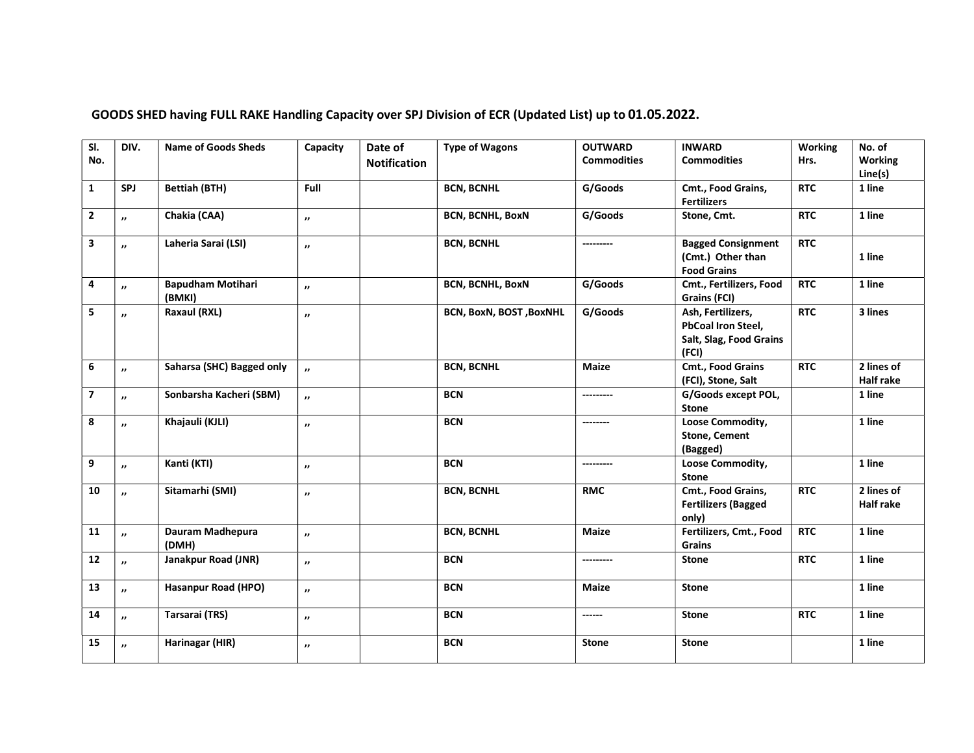| $\overline{\mathsf{S}}$<br>No. | DIV.                | <b>Name of Goods Sheds</b>         | Capacity                 | Date of<br><b>Notification</b> | <b>Type of Wagons</b>           | <b>OUTWARD</b><br><b>Commodities</b> | <b>INWARD</b><br><b>Commodities</b>                                                | Working<br>Hrs. | No. of<br><b>Working</b><br>Line(s) |
|--------------------------------|---------------------|------------------------------------|--------------------------|--------------------------------|---------------------------------|--------------------------------------|------------------------------------------------------------------------------------|-----------------|-------------------------------------|
| $\mathbf{1}$                   | <b>SPJ</b>          | <b>Bettiah (BTH)</b>               | Full                     |                                | <b>BCN, BCNHL</b>               | G/Goods                              | Cmt., Food Grains,<br><b>Fertilizers</b>                                           | <b>RTC</b>      | 1 line                              |
| $\mathbf{2}$                   | "                   | Chakia (CAA)                       | $\boldsymbol{\eta}$      |                                | <b>BCN, BCNHL, BoxN</b>         | G/Goods                              | Stone, Cmt.                                                                        | <b>RTC</b>      | 1 line                              |
| 3                              | ,,                  | Laheria Sarai (LSI)                | $\boldsymbol{\eta}$      |                                | <b>BCN, BCNHL</b>               | ---------                            | <b>Bagged Consignment</b><br>(Cmt.) Other than<br><b>Food Grains</b>               | <b>RTC</b>      | 1 line                              |
| $\overline{4}$                 | $\boldsymbol{v}$    | <b>Bapudham Motihari</b><br>(BMKI) | $\cdot$                  |                                | <b>BCN, BCNHL, BoxN</b>         | G/Goods                              | Cmt., Fertilizers, Food<br>Grains (FCI)                                            | <b>RTC</b>      | 1 line                              |
| 5                              | "                   | Raxaul (RXL)                       | "                        |                                | <b>BCN, BoxN, BOST , BoxNHL</b> | G/Goods                              | Ash, Fertilizers,<br><b>PbCoal Iron Steel,</b><br>Salt, Slag, Food Grains<br>(FCI) | <b>RTC</b>      | 3 lines                             |
| 6                              | $\boldsymbol{\eta}$ | Saharsa (SHC) Bagged only          | $\overline{\phantom{a}}$ |                                | <b>BCN, BCNHL</b>               | Maize                                | Cmt., Food Grains<br>(FCI), Stone, Salt                                            | <b>RTC</b>      | 2 lines of<br><b>Half rake</b>      |
| $\overline{\mathbf{z}}$        | $\boldsymbol{\eta}$ | Sonbarsha Kacheri (SBM)            | $\boldsymbol{\theta}$    |                                | <b>BCN</b>                      | ---------                            | G/Goods except POL,<br><b>Stone</b>                                                |                 | 1 line                              |
| 8                              | $\boldsymbol{\eta}$ | Khajauli (KJLI)                    | $^{\prime\prime}$        |                                | <b>BCN</b>                      | --------                             | Loose Commodity,<br><b>Stone, Cement</b><br>(Bagged)                               |                 | 1 line                              |
| $\boldsymbol{9}$               | $\boldsymbol{\eta}$ | Kanti (KTI)                        | "                        |                                | <b>BCN</b>                      | ---------                            | Loose Commodity,<br><b>Stone</b>                                                   |                 | 1 line                              |
| 10                             | $^{\prime \prime}$  | Sitamarhi (SMI)                    | $\boldsymbol{\eta}$      |                                | <b>BCN, BCNHL</b>               | <b>RMC</b>                           | Cmt., Food Grains,<br><b>Fertilizers (Bagged</b><br>only)                          | <b>RTC</b>      | 2 lines of<br><b>Half rake</b>      |
| 11                             | "                   | Dauram Madhepura<br>(DMH)          | "                        |                                | <b>BCN, BCNHL</b>               | <b>Maize</b>                         | Fertilizers, Cmt., Food<br>Grains                                                  | <b>RTC</b>      | 1 line                              |
| 12                             | $\boldsymbol{\eta}$ | Janakpur Road (JNR)                | $\boldsymbol{\eta}$      |                                | <b>BCN</b>                      | ---------                            | <b>Stone</b>                                                                       | <b>RTC</b>      | 1 line                              |
| 13                             | $\boldsymbol{\eta}$ | Hasanpur Road (HPO)                | $\boldsymbol{\eta}$      |                                | <b>BCN</b>                      | <b>Maize</b>                         | <b>Stone</b>                                                                       |                 | 1 line                              |
| 14                             | $\boldsymbol{\eta}$ | Tarsarai (TRS)                     | $\mathbf{v}$             |                                | <b>BCN</b>                      | ------                               | <b>Stone</b>                                                                       | <b>RTC</b>      | 1 line                              |
| 15                             | $^{\prime\prime}$   | Harinagar (HIR)                    | $\cdot$                  |                                | <b>BCN</b>                      | <b>Stone</b>                         | <b>Stone</b>                                                                       |                 | 1 line                              |

### GOODS SHED having FULL RAKE Handling Capacity over SPJ Division of ECR (Updated List) up to 01.05.2022.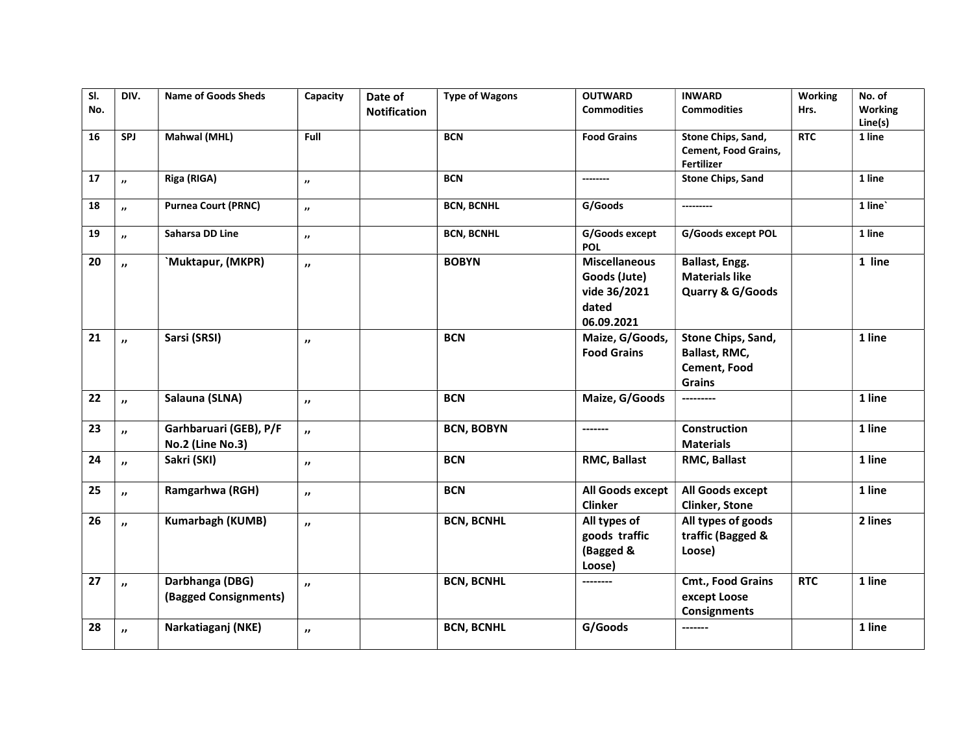| SI. | DIV.                  | <b>Name of Goods Sheds</b>                 | Capacity            | Date of             | <b>Type of Wagons</b> | <b>OUTWARD</b>                                                              | <b>INWARD</b>                                                        | <b>Working</b> | No. of         |
|-----|-----------------------|--------------------------------------------|---------------------|---------------------|-----------------------|-----------------------------------------------------------------------------|----------------------------------------------------------------------|----------------|----------------|
| No. |                       |                                            |                     | <b>Notification</b> |                       | <b>Commodities</b>                                                          | <b>Commodities</b>                                                   | Hrs.           | <b>Working</b> |
|     |                       |                                            |                     |                     |                       |                                                                             |                                                                      |                | Line(s)        |
| 16  | SPJ                   | Mahwal (MHL)                               | <b>Full</b>         |                     | <b>BCN</b>            | <b>Food Grains</b>                                                          | Stone Chips, Sand,<br>Cement, Food Grains,<br>Fertilizer             | <b>RTC</b>     | 1 line         |
| 17  | $\boldsymbol{\eta}$   | Riga (RIGA)                                | $^{\prime\prime}$   |                     | <b>BCN</b>            | --------                                                                    | <b>Stone Chips, Sand</b>                                             |                | 1 line         |
| 18  | $\cdot$               | <b>Purnea Court (PRNC)</b>                 | $\cdot$             |                     | <b>BCN, BCNHL</b>     | G/Goods                                                                     | ---------                                                            |                | 1 line         |
| 19  | $\boldsymbol{\eta}$   | Saharsa DD Line                            | $\cdot$             |                     | <b>BCN, BCNHL</b>     | G/Goods except<br><b>POL</b>                                                | G/Goods except POL                                                   |                | 1 line         |
| 20  | $\boldsymbol{\eta}$   | Muktapur, (MKPR)                           | $\boldsymbol{\eta}$ |                     | <b>BOBYN</b>          | <b>Miscellaneous</b><br>Goods (Jute)<br>vide 36/2021<br>dated<br>06.09.2021 | Ballast, Engg.<br><b>Materials like</b><br>Quarry & G/Goods          |                | 1 line         |
| 21  | $\boldsymbol{\theta}$ | Sarsi (SRSI)                               | $\boldsymbol{\eta}$ |                     | <b>BCN</b>            | Maize, G/Goods,<br><b>Food Grains</b>                                       | Stone Chips, Sand,<br>Ballast, RMC,<br>Cement, Food<br><b>Grains</b> |                | 1 line         |
| 22  | $\boldsymbol{\theta}$ | Salauna (SLNA)                             | $\boldsymbol{\eta}$ |                     | <b>BCN</b>            | Maize, G/Goods                                                              | ---------                                                            |                | 1 line         |
| 23  | $\overline{v}$        | Garhbaruari (GEB), P/F<br>No.2 (Line No.3) | $\boldsymbol{\eta}$ |                     | <b>BCN, BOBYN</b>     | -------                                                                     | <b>Construction</b><br><b>Materials</b>                              |                | 1 line         |
| 24  | $\boldsymbol{\theta}$ | Sakri (SKI)                                | $\boldsymbol{\eta}$ |                     | <b>BCN</b>            | RMC, Ballast                                                                | RMC, Ballast                                                         |                | 1 line         |
| 25  | $\boldsymbol{\theta}$ | Ramgarhwa (RGH)                            | $\boldsymbol{\eta}$ |                     | <b>BCN</b>            | All Goods except<br><b>Clinker</b>                                          | All Goods except<br><b>Clinker, Stone</b>                            |                | 1 line         |
| 26  | $\boldsymbol{\eta}$   | Kumarbagh (KUMB)                           | $\boldsymbol{\eta}$ |                     | <b>BCN, BCNHL</b>     | All types of<br>goods traffic<br>(Bagged &<br>Loose)                        | All types of goods<br>traffic (Bagged &<br>Loose)                    |                | 2 lines        |
| 27  | $\boldsymbol{\theta}$ | Darbhanga (DBG)<br>(Bagged Consignments)   | $\boldsymbol{\eta}$ |                     | <b>BCN, BCNHL</b>     | --------                                                                    | Cmt., Food Grains<br>except Loose<br><b>Consignments</b>             | <b>RTC</b>     | 1 line         |
| 28  | $\mathbf{v}$          | Narkatiaganj (NKE)                         | $\boldsymbol{\eta}$ |                     | <b>BCN, BCNHL</b>     | G/Goods                                                                     | -------                                                              |                | 1 line         |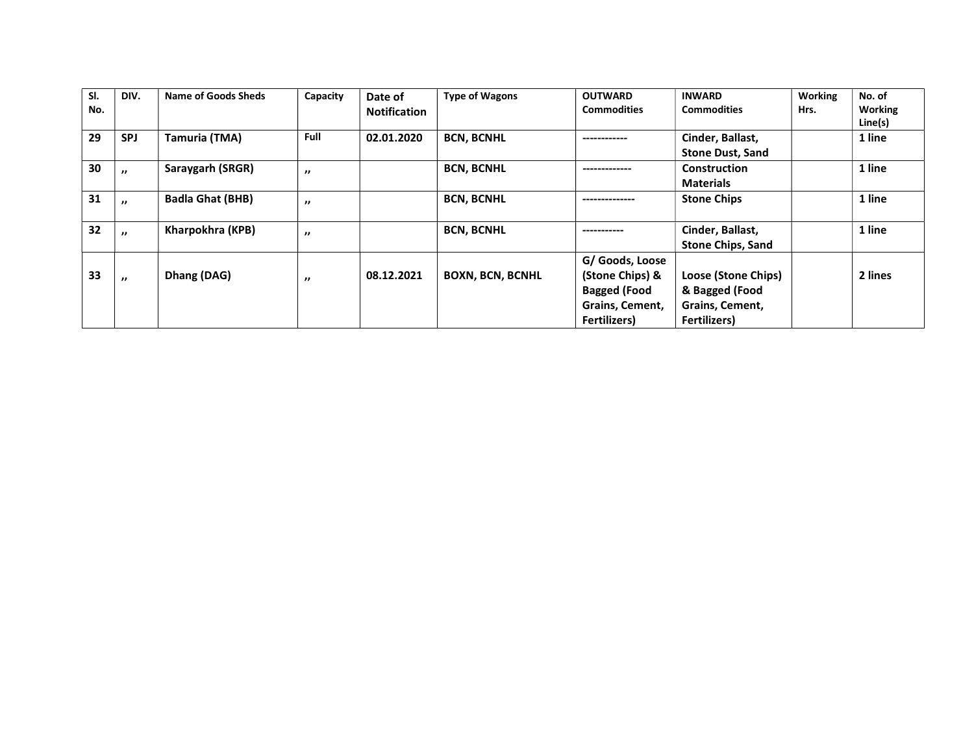| SI. | DIV.              | Name of Goods Sheds     | Capacity          | Date of             | <b>Type of Wagons</b>   | <b>OUTWARD</b>      | <b>INWARD</b>            | <b>Working</b> | No. of         |
|-----|-------------------|-------------------------|-------------------|---------------------|-------------------------|---------------------|--------------------------|----------------|----------------|
| No. |                   |                         |                   | <b>Notification</b> |                         | <b>Commodities</b>  | <b>Commodities</b>       | Hrs.           | <b>Working</b> |
|     |                   |                         |                   |                     |                         |                     |                          |                | Line(s)        |
| 29  | <b>SPJ</b>        | Tamuria (TMA)           | Full              | 02.01.2020          | <b>BCN, BCNHL</b>       |                     | Cinder, Ballast,         |                | 1 line         |
|     |                   |                         |                   |                     |                         |                     | <b>Stone Dust, Sand</b>  |                |                |
| 30  | $^{\prime\prime}$ | Saraygarh (SRGR)        | $^{\prime\prime}$ |                     | <b>BCN, BCNHL</b>       |                     | Construction             |                | 1 line         |
|     |                   |                         |                   |                     |                         |                     | <b>Materials</b>         |                |                |
| 31  | $^{\prime\prime}$ | <b>Badla Ghat (BHB)</b> | $^{\prime\prime}$ |                     | <b>BCN, BCNHL</b>       |                     | <b>Stone Chips</b>       |                | 1 line         |
|     |                   |                         |                   |                     |                         |                     |                          |                |                |
| 32  | $^{\prime\prime}$ | Kharpokhra (KPB)        | $^{\prime\prime}$ |                     | <b>BCN, BCNHL</b>       | ----------          | Cinder, Ballast,         |                | 1 line         |
|     |                   |                         |                   |                     |                         |                     | <b>Stone Chips, Sand</b> |                |                |
|     |                   |                         |                   |                     |                         | G/ Goods, Loose     |                          |                |                |
| 33  | $^{\prime\prime}$ | Dhang (DAG)             | $^{\prime\prime}$ | 08.12.2021          | <b>BOXN, BCN, BCNHL</b> | (Stone Chips) &     | Loose (Stone Chips)      |                | 2 lines        |
|     |                   |                         |                   |                     |                         | <b>Bagged (Food</b> | & Bagged (Food           |                |                |
|     |                   |                         |                   |                     |                         | Grains, Cement,     | Grains, Cement,          |                |                |
|     |                   |                         |                   |                     |                         | <b>Fertilizers)</b> | <b>Fertilizers</b> )     |                |                |